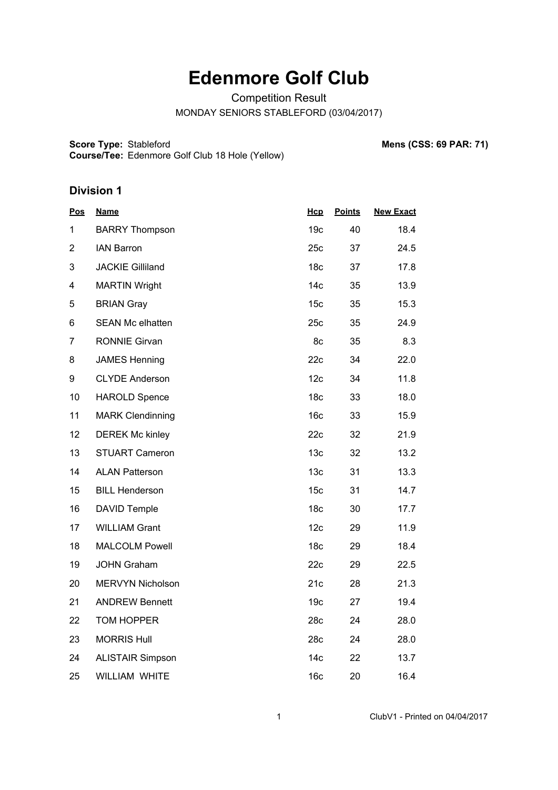## **Edenmore Golf Club**

Competition Result

MONDAY SENIORS STABLEFORD (03/04/2017)

**Score Type: Course/Tee:** Stableford **Mens (CSS: 69 PAR: 71)** Edenmore Golf Club 18 Hole (Yellow)

## **Division 1**

| <u>Pos</u>     | <b>Name</b>             | <b>Hcp</b>      | <b>Points</b> | <b>New Exact</b> |
|----------------|-------------------------|-----------------|---------------|------------------|
| 1              | <b>BARRY Thompson</b>   | 19 <sub>c</sub> | 40            | 18.4             |
| $\overline{2}$ | <b>IAN Barron</b>       | 25c             | 37            | 24.5             |
| 3              | <b>JACKIE Gilliland</b> | 18 <sub>c</sub> | 37            | 17.8             |
| 4              | <b>MARTIN Wright</b>    | 14 <sub>c</sub> | 35            | 13.9             |
| 5              | <b>BRIAN Gray</b>       | 15 <sub>c</sub> | 35            | 15.3             |
| 6              | <b>SEAN Mc elhatten</b> | 25c             | 35            | 24.9             |
| $\overline{7}$ | <b>RONNIE Girvan</b>    | 8c              | 35            | 8.3              |
| 8              | <b>JAMES Henning</b>    | 22c             | 34            | 22.0             |
| 9              | <b>CLYDE Anderson</b>   | 12c             | 34            | 11.8             |
| 10             | <b>HAROLD Spence</b>    | 18 <sub>c</sub> | 33            | 18.0             |
| 11             | <b>MARK Clendinning</b> | 16 <sub>c</sub> | 33            | 15.9             |
| 12             | <b>DEREK Mc kinley</b>  | 22c             | 32            | 21.9             |
| 13             | <b>STUART Cameron</b>   | 13 <sub>c</sub> | 32            | 13.2             |
| 14             | <b>ALAN Patterson</b>   | 13 <sub>c</sub> | 31            | 13.3             |
| 15             | <b>BILL Henderson</b>   | 15 <sub>c</sub> | 31            | 14.7             |
| 16             | <b>DAVID Temple</b>     | 18 <sub>c</sub> | 30            | 17.7             |
| 17             | <b>WILLIAM Grant</b>    | 12c             | 29            | 11.9             |
| 18             | <b>MALCOLM Powell</b>   | 18c             | 29            | 18.4             |
| 19             | <b>JOHN Graham</b>      | 22c             | 29            | 22.5             |
| 20             | MERVYN Nicholson        | 21c             | 28            | 21.3             |
| 21             | <b>ANDREW Bennett</b>   | 19 <sub>c</sub> | 27            | 19.4             |
| 22             | TOM HOPPER              | 28c             | 24            | 28.0             |
| 23             | <b>MORRIS Hull</b>      | 28c             | 24            | 28.0             |
| 24             | <b>ALISTAIR Simpson</b> | 14 <sub>c</sub> | 22            | 13.7             |
| 25             | <b>WILLIAM WHITE</b>    | 16 <sub>c</sub> | 20            | 16.4             |

1 ClubV1 - Printed on 04/04/2017